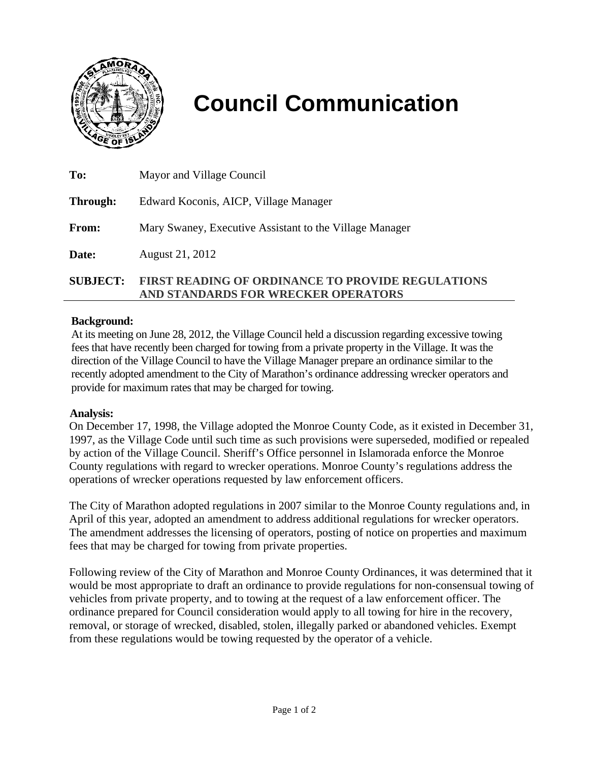

# **Council Communication**

| <b>SUBJECT:</b> | <b>FIRST READING OF ORDINANCE TO PROVIDE REGULATIONS</b><br>AND STANDARDS FOR WRECKER OPERATORS |
|-----------------|-------------------------------------------------------------------------------------------------|
| Date:           | August 21, 2012                                                                                 |
| From:           | Mary Swaney, Executive Assistant to the Village Manager                                         |
| Through:        | Edward Koconis, AICP, Village Manager                                                           |
| To:             | Mayor and Village Council                                                                       |

#### **Background:**

At its meeting on June 28, 2012, the Village Council held a discussion regarding excessive towing fees that have recently been charged for towing from a private property in the Village. It was the direction of the Village Council to have the Village Manager prepare an ordinance similar to the recently adopted amendment to the City of Marathon's ordinance addressing wrecker operators and provide for maximum rates that may be charged for towing.

#### **Analysis:**

On December 17, 1998, the Village adopted the Monroe County Code, as it existed in December 31, 1997, as the Village Code until such time as such provisions were superseded, modified or repealed by action of the Village Council. Sheriff's Office personnel in Islamorada enforce the Monroe County regulations with regard to wrecker operations. Monroe County's regulations address the operations of wrecker operations requested by law enforcement officers.

The City of Marathon adopted regulations in 2007 similar to the Monroe County regulations and, in April of this year, adopted an amendment to address additional regulations for wrecker operators. The amendment addresses the licensing of operators, posting of notice on properties and maximum fees that may be charged for towing from private properties.

Following review of the City of Marathon and Monroe County Ordinances, it was determined that it would be most appropriate to draft an ordinance to provide regulations for non-consensual towing of vehicles from private property, and to towing at the request of a law enforcement officer. The ordinance prepared for Council consideration would apply to all towing for hire in the recovery, removal, or storage of wrecked, disabled, stolen, illegally parked or abandoned vehicles. Exempt from these regulations would be towing requested by the operator of a vehicle.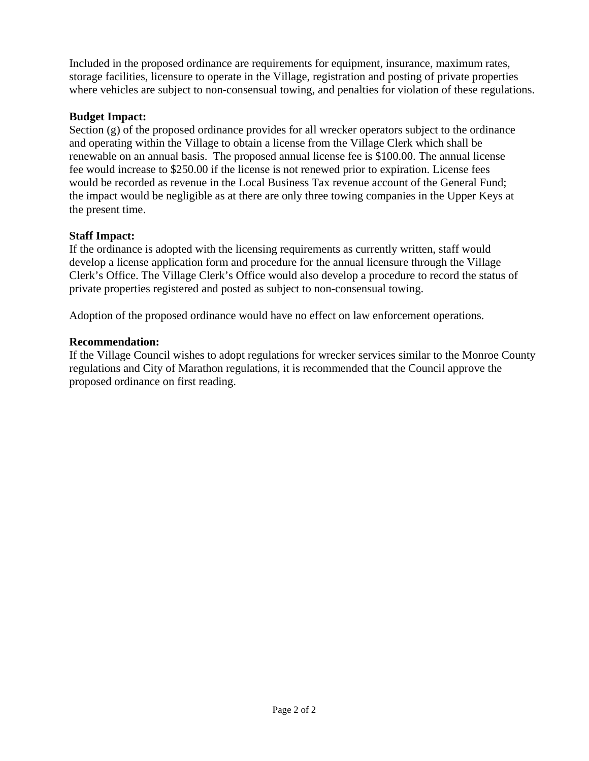Included in the proposed ordinance are requirements for equipment, insurance, maximum rates, storage facilities, licensure to operate in the Village, registration and posting of private properties where vehicles are subject to non-consensual towing, and penalties for violation of these regulations.

# **Budget Impact:**

Section (g) of the proposed ordinance provides for all wrecker operators subject to the ordinance and operating within the Village to obtain a license from the Village Clerk which shall be renewable on an annual basis. The proposed annual license fee is \$100.00. The annual license fee would increase to \$250.00 if the license is not renewed prior to expiration. License fees would be recorded as revenue in the Local Business Tax revenue account of the General Fund; the impact would be negligible as at there are only three towing companies in the Upper Keys at the present time.

# **Staff Impact:**

If the ordinance is adopted with the licensing requirements as currently written, staff would develop a license application form and procedure for the annual licensure through the Village Clerk's Office. The Village Clerk's Office would also develop a procedure to record the status of private properties registered and posted as subject to non-consensual towing.

Adoption of the proposed ordinance would have no effect on law enforcement operations.

# **Recommendation:**

If the Village Council wishes to adopt regulations for wrecker services similar to the Monroe County regulations and City of Marathon regulations, it is recommended that the Council approve the proposed ordinance on first reading.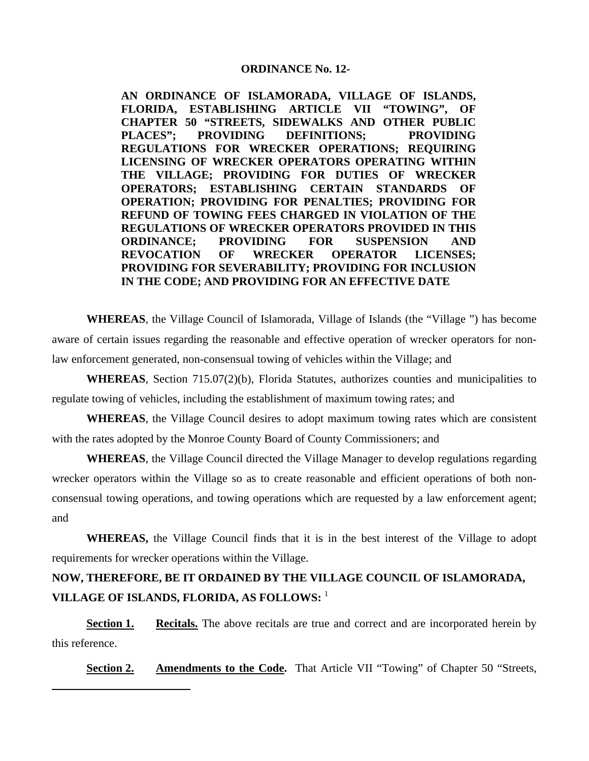#### **ORDINANCE No. 12-**

**AN ORDINANCE OF ISLAMORADA, VILLAGE OF ISLANDS, FLORIDA, ESTABLISHING ARTICLE VII "TOWING", OF CHAPTER 50 "STREETS, SIDEWALKS AND OTHER PUBLIC PLACES"; PROVIDING DEFINITIONS; PROVIDING REGULATIONS FOR WRECKER OPERATIONS; REQUIRING LICENSING OF WRECKER OPERATORS OPERATING WITHIN THE VILLAGE; PROVIDING FOR DUTIES OF WRECKER OPERATORS; ESTABLISHING CERTAIN STANDARDS OF OPERATION; PROVIDING FOR PENALTIES; PROVIDING FOR REFUND OF TOWING FEES CHARGED IN VIOLATION OF THE REGULATIONS OF WRECKER OPERATORS PROVIDED IN THIS ORDINANCE; PROVIDING FOR SUSPENSION AND REVOCATION OF WRECKER OPERATOR LICENSES; PROVIDING FOR SEVERABILITY; PROVIDING FOR INCLUSION IN THE CODE; AND PROVIDING FOR AN EFFECTIVE DATE**

**WHEREAS**, the Village Council of Islamorada, Village of Islands (the "Village ") has become aware of certain issues regarding the reasonable and effective operation of wrecker operators for nonlaw enforcement generated, non-consensual towing of vehicles within the Village; and

**WHEREAS**, Section 715.07(2)(b), Florida Statutes, authorizes counties and municipalities to regulate towing of vehicles, including the establishment of maximum towing rates; and

**WHEREAS**, the Village Council desires to adopt maximum towing rates which are consistent with the rates adopted by the Monroe County Board of County Commissioners; and

**WHEREAS**, the Village Council directed the Village Manager to develop regulations regarding wrecker operators within the Village so as to create reasonable and efficient operations of both nonconsensual towing operations, and towing operations which are requested by a law enforcement agent; and

**WHEREAS,** the Village Council finds that it is in the best interest of the Village to adopt requirements for wrecker operations within the Village.

# **NOW, THEREFORE, BE IT ORDAINED BY THE VILLAGE COUNCIL OF ISLAMORADA, VILLAGE OF ISLANDS, FLORIDA, AS FOLLOWS:** <sup>1</sup>

**Section 1.** Recitals. The above recitals are true and correct and are incorporated herein by this reference.

**Section 2.** Amendments to the Code. That Article VII "Towing" of Chapter 50 "Streets,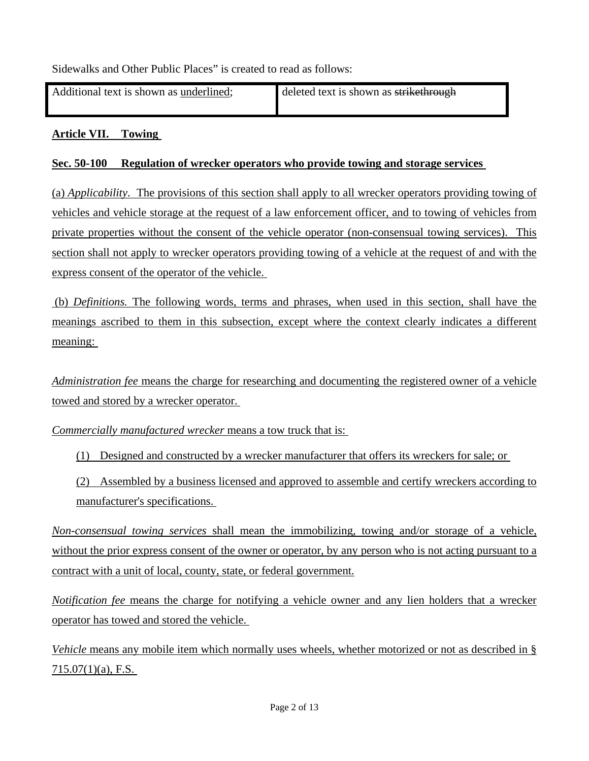Sidewalks and Other Public Places" is created to read as follows:

| Additional text is shown as underlined; | deleted text is shown as strikethrough |
|-----------------------------------------|----------------------------------------|
|                                         |                                        |

### **Article VII. Towing**

#### **Sec. 50-100 Regulation of wrecker operators who provide towing and storage services**

(a) *Applicability*. The provisions of this section shall apply to all wrecker operators providing towing of vehicles and vehicle storage at the request of a law enforcement officer, and to towing of vehicles from private properties without the consent of the vehicle operator (non-consensual towing services). This section shall not apply to wrecker operators providing towing of a vehicle at the request of and with the express consent of the operator of the vehicle.

 (b) *Definitions.* The following words, terms and phrases, when used in this section, shall have the meanings ascribed to them in this subsection, except where the context clearly indicates a different meaning:

*Administration fee* means the charge for researching and documenting the registered owner of a vehicle towed and stored by a wrecker operator.

*Commercially manufactured wrecker* means a tow truck that is:

- (1) Designed and constructed by a wrecker manufacturer that offers its wreckers for sale; or
- (2) Assembled by a business licensed and approved to assemble and certify wreckers according to manufacturer's specifications.

*Non-consensual towing services* shall mean the immobilizing, towing and/or storage of a vehicle, without the prior express consent of the owner or operator, by any person who is not acting pursuant to a contract with a unit of local, county, state, or federal government.

*Notification fee* means the charge for notifying a vehicle owner and any lien holders that a wrecker operator has towed and stored the vehicle.

*Vehicle* means any mobile item which normally uses wheels, whether motorized or not as described in §  $715.07(1)(a)$ , F.S.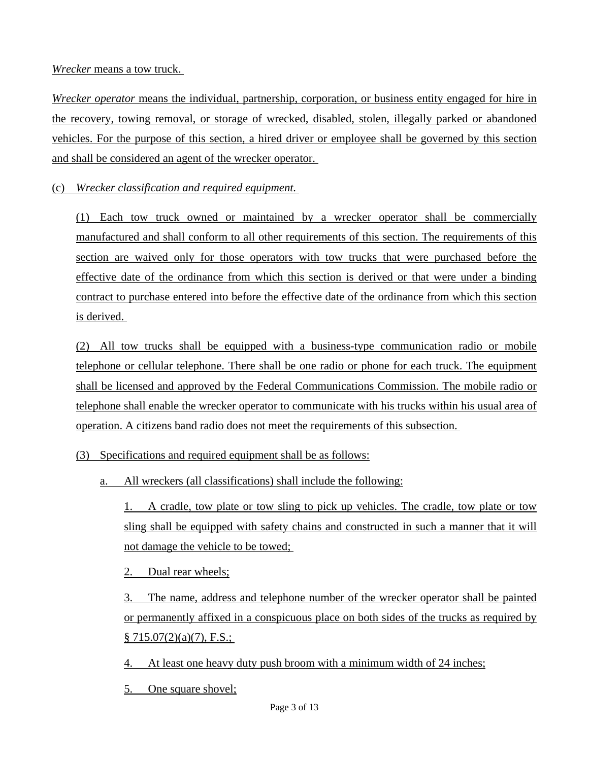#### *Wrecker* means a tow truck.

*Wrecker operator* means the individual, partnership, corporation, or business entity engaged for hire in the recovery, towing removal, or storage of wrecked, disabled, stolen, illegally parked or abandoned vehicles. For the purpose of this section, a hired driver or employee shall be governed by this section and shall be considered an agent of the wrecker operator.

(c) *Wrecker classification and required equipment.*

(1) Each tow truck owned or maintained by a wrecker operator shall be commercially manufactured and shall conform to all other requirements of this section. The requirements of this section are waived only for those operators with tow trucks that were purchased before the effective date of the ordinance from which this section is derived or that were under a binding contract to purchase entered into before the effective date of the ordinance from which this section is derived.

(2) All tow trucks shall be equipped with a business-type communication radio or mobile telephone or cellular telephone. There shall be one radio or phone for each truck. The equipment shall be licensed and approved by the Federal Communications Commission. The mobile radio or telephone shall enable the wrecker operator to communicate with his trucks within his usual area of operation. A citizens band radio does not meet the requirements of this subsection.

- (3) Specifications and required equipment shall be as follows:
	- a. All wreckers (all classifications) shall include the following:

1. A cradle, tow plate or tow sling to pick up vehicles. The cradle, tow plate or tow sling shall be equipped with safety chains and constructed in such a manner that it will not damage the vehicle to be towed;

2. Dual rear wheels;

3. The name, address and telephone number of the wrecker operator shall be painted or permanently affixed in a conspicuous place on both sides of the trucks as required by  $§ 715.07(2)(a)(7)$ , F.S.;

4. At least one heavy duty push broom with a minimum width of 24 inches;

5. One square shovel;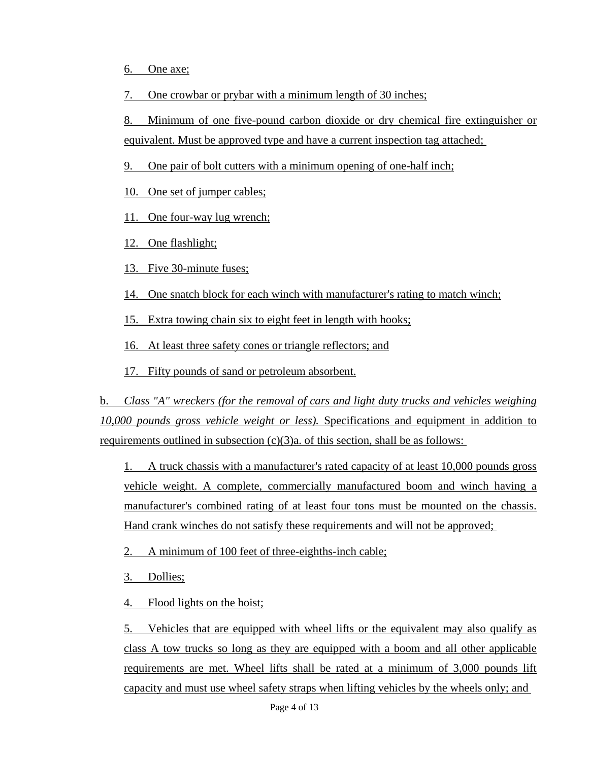6. One axe;

7. One crowbar or prybar with a minimum length of 30 inches;

8. Minimum of one five-pound carbon dioxide or dry chemical fire extinguisher or equivalent. Must be approved type and have a current inspection tag attached;

9. One pair of bolt cutters with a minimum opening of one-half inch;

10. One set of jumper cables;

11. One four-way lug wrench;

12. One flashlight;

13. Five 30-minute fuses;

14. One snatch block for each winch with manufacturer's rating to match winch;

15. Extra towing chain six to eight feet in length with hooks;

16. At least three safety cones or triangle reflectors; and

17. Fifty pounds of sand or petroleum absorbent.

b. *Class "A" wreckers (for the removal of cars and light duty trucks and vehicles weighing 10,000 pounds gross vehicle weight or less).* Specifications and equipment in addition to requirements outlined in subsection  $(c)(3)a$ . of this section, shall be as follows:

1. A truck chassis with a manufacturer's rated capacity of at least 10,000 pounds gross vehicle weight. A complete, commercially manufactured boom and winch having a manufacturer's combined rating of at least four tons must be mounted on the chassis. Hand crank winches do not satisfy these requirements and will not be approved;

2. A minimum of 100 feet of three-eighths-inch cable;

3. Dollies;

4. Flood lights on the hoist;

5. Vehicles that are equipped with wheel lifts or the equivalent may also qualify as class A tow trucks so long as they are equipped with a boom and all other applicable requirements are met. Wheel lifts shall be rated at a minimum of 3,000 pounds lift capacity and must use wheel safety straps when lifting vehicles by the wheels only; and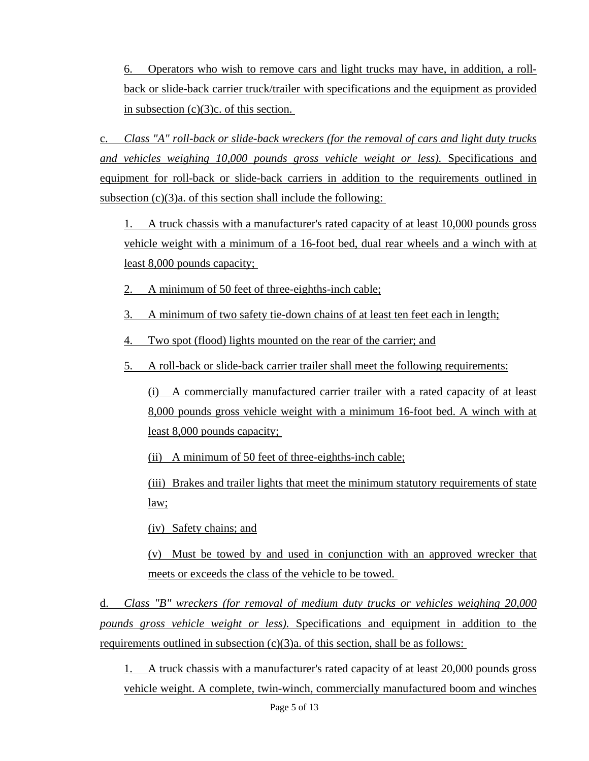6. Operators who wish to remove cars and light trucks may have, in addition, a rollback or slide-back carrier truck/trailer with specifications and the equipment as provided in subsection (c)(3)c. of this section.

c. *Class "A" roll-back or slide-back wreckers (for the removal of cars and light duty trucks and vehicles weighing 10,000 pounds gross vehicle weight or less).* Specifications and equipment for roll-back or slide-back carriers in addition to the requirements outlined in subsection  $(c)(3)a$ . of this section shall include the following:

1. A truck chassis with a manufacturer's rated capacity of at least 10,000 pounds gross vehicle weight with a minimum of a 16-foot bed, dual rear wheels and a winch with at least 8,000 pounds capacity;

2. A minimum of 50 feet of three-eighths-inch cable;

3. A minimum of two safety tie-down chains of at least ten feet each in length;

4. Two spot (flood) lights mounted on the rear of the carrier; and

5. A roll-back or slide-back carrier trailer shall meet the following requirements:

(i) A commercially manufactured carrier trailer with a rated capacity of at least 8,000 pounds gross vehicle weight with a minimum 16-foot bed. A winch with at least 8,000 pounds capacity;

(ii) A minimum of 50 feet of three-eighths-inch cable;

(iii) Brakes and trailer lights that meet the minimum statutory requirements of state law;

(iv) Safety chains; and

(v) Must be towed by and used in conjunction with an approved wrecker that meets or exceeds the class of the vehicle to be towed.

d. *Class "B" wreckers (for removal of medium duty trucks or vehicles weighing 20,000 pounds gross vehicle weight or less).* Specifications and equipment in addition to the requirements outlined in subsection  $(c)(3)a$ . of this section, shall be as follows:

1. A truck chassis with a manufacturer's rated capacity of at least 20,000 pounds gross vehicle weight. A complete, twin-winch, commercially manufactured boom and winches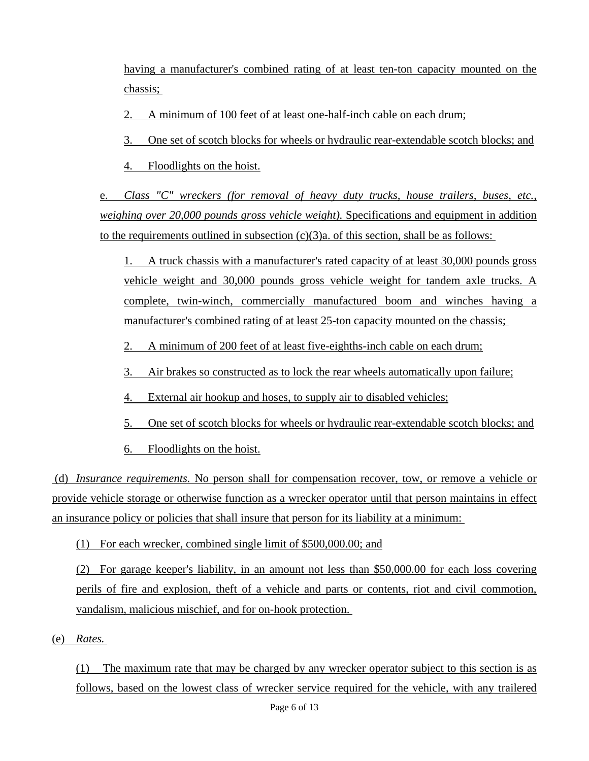having a manufacturer's combined rating of at least ten-ton capacity mounted on the chassis;

2. A minimum of 100 feet of at least one-half-inch cable on each drum;

3. One set of scotch blocks for wheels or hydraulic rear-extendable scotch blocks; and

4. Floodlights on the hoist.

e. *Class "C" wreckers (for removal of heavy duty trucks, house trailers, buses, etc., weighing over 20,000 pounds gross vehicle weight).* Specifications and equipment in addition to the requirements outlined in subsection  $(c)(3)a$ . of this section, shall be as follows:

1. A truck chassis with a manufacturer's rated capacity of at least 30,000 pounds gross vehicle weight and 30,000 pounds gross vehicle weight for tandem axle trucks. A complete, twin-winch, commercially manufactured boom and winches having a manufacturer's combined rating of at least 25-ton capacity mounted on the chassis;

2. A minimum of 200 feet of at least five-eighths-inch cable on each drum;

- 3. Air brakes so constructed as to lock the rear wheels automatically upon failure;
- 4. External air hookup and hoses, to supply air to disabled vehicles;
- 5. One set of scotch blocks for wheels or hydraulic rear-extendable scotch blocks; and

6. Floodlights on the hoist.

 (d) *Insurance requirements.* No person shall for compensation recover, tow, or remove a vehicle or provide vehicle storage or otherwise function as a wrecker operator until that person maintains in effect an insurance policy or policies that shall insure that person for its liability at a minimum:

(1) For each wrecker, combined single limit of \$500,000.00; and

(2) For garage keeper's liability, in an amount not less than \$50,000.00 for each loss covering perils of fire and explosion, theft of a vehicle and parts or contents, riot and civil commotion, vandalism, malicious mischief, and for on-hook protection.

(e) *Rates.*

(1) The maximum rate that may be charged by any wrecker operator subject to this section is as follows, based on the lowest class of wrecker service required for the vehicle, with any trailered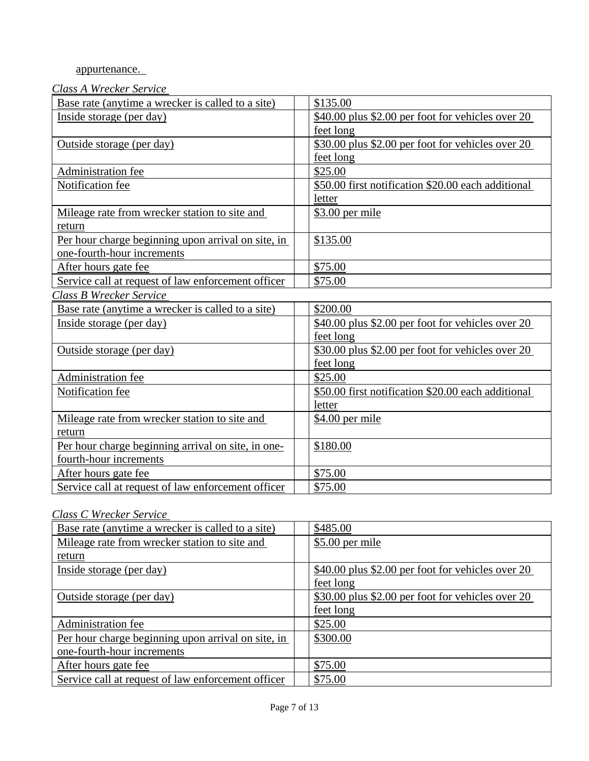# appurtenance.

# *Class A Wrecker Service*

| $200011$ $1100001$ $001000$                        |                                                    |  |  |
|----------------------------------------------------|----------------------------------------------------|--|--|
| Base rate (anytime a wrecker is called to a site)  | \$135.00                                           |  |  |
| Inside storage (per day)                           | \$40.00 plus \$2.00 per foot for vehicles over 20  |  |  |
|                                                    | feet long                                          |  |  |
| Outside storage (per day)                          | \$30.00 plus \$2.00 per foot for vehicles over 20  |  |  |
|                                                    | feet long                                          |  |  |
| Administration fee                                 | \$25.00                                            |  |  |
| Notification fee                                   | \$50.00 first notification \$20.00 each additional |  |  |
|                                                    | letter                                             |  |  |
| Mileage rate from wrecker station to site and      | $$3.00$ per mile                                   |  |  |
| return                                             |                                                    |  |  |
| Per hour charge beginning upon arrival on site, in | \$135.00                                           |  |  |
| one-fourth-hour increments                         |                                                    |  |  |
| After hours gate fee                               | \$75.00                                            |  |  |
| Service call at request of law enforcement officer | \$75.00                                            |  |  |
| Class B Wrecker Service                            |                                                    |  |  |
| Base rate (anytime a wrecker is called to a site)  | \$200.00                                           |  |  |
| Inside storage (per day)                           | \$40.00 plus \$2.00 per foot for vehicles over 20  |  |  |
|                                                    | feet long                                          |  |  |
| Outside storage (per day)                          | \$30.00 plus \$2.00 per foot for vehicles over 20  |  |  |
|                                                    | feet long                                          |  |  |
| Administration fee                                 | \$25.00                                            |  |  |
| Notification fee                                   | \$50.00 first notification \$20.00 each additional |  |  |
|                                                    | letter                                             |  |  |
| Mileage rate from wrecker station to site and      | $$4.00$ per mile                                   |  |  |
| return                                             |                                                    |  |  |
| Per hour charge beginning arrival on site, in one- | \$180.00                                           |  |  |
| fourth-hour increments                             |                                                    |  |  |
| After hours gate fee                               | \$75.00                                            |  |  |
| Service call at request of law enforcement officer | \$75.00                                            |  |  |

# *Class C Wrecker Service*

| Base rate (anytime a wrecker is called to a site)  |  | \$485.00                                           |
|----------------------------------------------------|--|----------------------------------------------------|
| Mileage rate from wrecker station to site and      |  | \$5.00 per mile                                    |
| return                                             |  |                                                    |
| Inside storage (per day)                           |  | $$40.00$ plus \$2.00 per foot for vehicles over 20 |
|                                                    |  | feet long                                          |
| Outside storage (per day)                          |  | \$30.00 plus \$2.00 per foot for vehicles over 20  |
|                                                    |  | feet long                                          |
| Administration fee                                 |  | \$25.00                                            |
| Per hour charge beginning upon arrival on site, in |  | \$300.00                                           |
| one-fourth-hour increments                         |  |                                                    |
| After hours gate fee                               |  | \$75.00                                            |
| Service call at request of law enforcement officer |  | \$75.00                                            |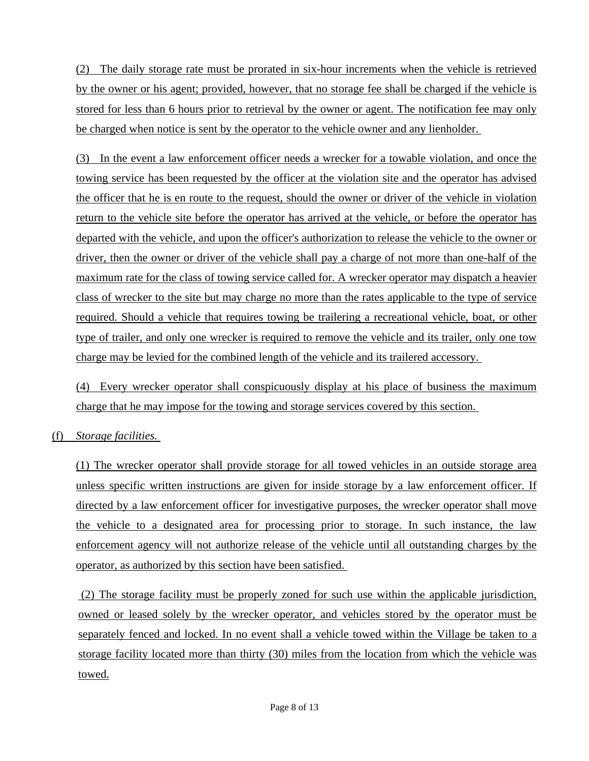(2) The daily storage rate must be prorated in six-hour increments when the vehicle is retrieved by the owner or his agent; provided, however, that no storage fee shall be charged if the vehicle is stored for less than 6 hours prior to retrieval by the owner or agent. The notification fee may only be charged when notice is sent by the operator to the vehicle owner and any lienholder.

(3) In the event a law enforcement officer needs a wrecker for a towable violation, and once the towing service has been requested by the officer at the violation site and the operator has advised the officer that he is en route to the request, should the owner or driver of the vehicle in violation return to the vehicle site before the operator has arrived at the vehicle, or before the operator has departed with the vehicle, and upon the officer's authorization to release the vehicle to the owner or driver, then the owner or driver of the vehicle shall pay a charge of not more than one-half of the maximum rate for the class of towing service called for. A wrecker operator may dispatch a heavier class of wrecker to the site but may charge no more than the rates applicable to the type of service required. Should a vehicle that requires towing be trailering a recreational vehicle, boat, or other type of trailer, and only one wrecker is required to remove the vehicle and its trailer, only one tow charge may be levied for the combined length of the vehicle and its trailered accessory.

(4) Every wrecker operator shall conspicuously display at his place of business the maximum charge that he may impose for the towing and storage services covered by this section.

# (f) *Storage facilities.*

(1) The wrecker operator shall provide storage for all towed vehicles in an outside storage area unless specific written instructions are given for inside storage by a law enforcement officer. If directed by a law enforcement officer for investigative purposes, the wrecker operator shall move the vehicle to a designated area for processing prior to storage. In such instance, the law enforcement agency will not authorize release of the vehicle until all outstanding charges by the operator, as authorized by this section have been satisfied.

 (2) The storage facility must be properly zoned for such use within the applicable jurisdiction, owned or leased solely by the wrecker operator, and vehicles stored by the operator must be separately fenced and locked. In no event shall a vehicle towed within the Village be taken to a storage facility located more than thirty (30) miles from the location from which the vehicle was towed.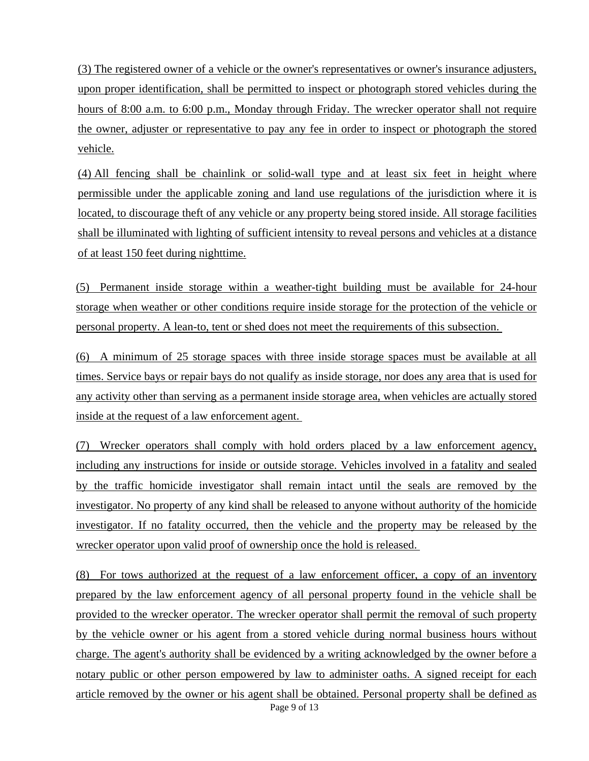(3) The registered owner of a vehicle or the owner's representatives or owner's insurance adjusters, upon proper identification, shall be permitted to inspect or photograph stored vehicles during the hours of 8:00 a.m. to 6:00 p.m., Monday through Friday. The wrecker operator shall not require the owner, adjuster or representative to pay any fee in order to inspect or photograph the stored vehicle.

(4) All fencing shall be chainlink or solid-wall type and at least six feet in height where permissible under the applicable zoning and land use regulations of the jurisdiction where it is located, to discourage theft of any vehicle or any property being stored inside. All storage facilities shall be illuminated with lighting of sufficient intensity to reveal persons and vehicles at a distance of at least 150 feet during nighttime.

(5) Permanent inside storage within a weather-tight building must be available for 24-hour storage when weather or other conditions require inside storage for the protection of the vehicle or personal property. A lean-to, tent or shed does not meet the requirements of this subsection.

(6) A minimum of 25 storage spaces with three inside storage spaces must be available at all times. Service bays or repair bays do not qualify as inside storage, nor does any area that is used for any activity other than serving as a permanent inside storage area, when vehicles are actually stored inside at the request of a law enforcement agent.

(7) Wrecker operators shall comply with hold orders placed by a law enforcement agency, including any instructions for inside or outside storage. Vehicles involved in a fatality and sealed by the traffic homicide investigator shall remain intact until the seals are removed by the investigator. No property of any kind shall be released to anyone without authority of the homicide investigator. If no fatality occurred, then the vehicle and the property may be released by the wrecker operator upon valid proof of ownership once the hold is released.

(8) For tows authorized at the request of a law enforcement officer, a copy of an inventory prepared by the law enforcement agency of all personal property found in the vehicle shall be provided to the wrecker operator. The wrecker operator shall permit the removal of such property by the vehicle owner or his agent from a stored vehicle during normal business hours without charge. The agent's authority shall be evidenced by a writing acknowledged by the owner before a notary public or other person empowered by law to administer oaths. A signed receipt for each article removed by the owner or his agent shall be obtained. Personal property shall be defined as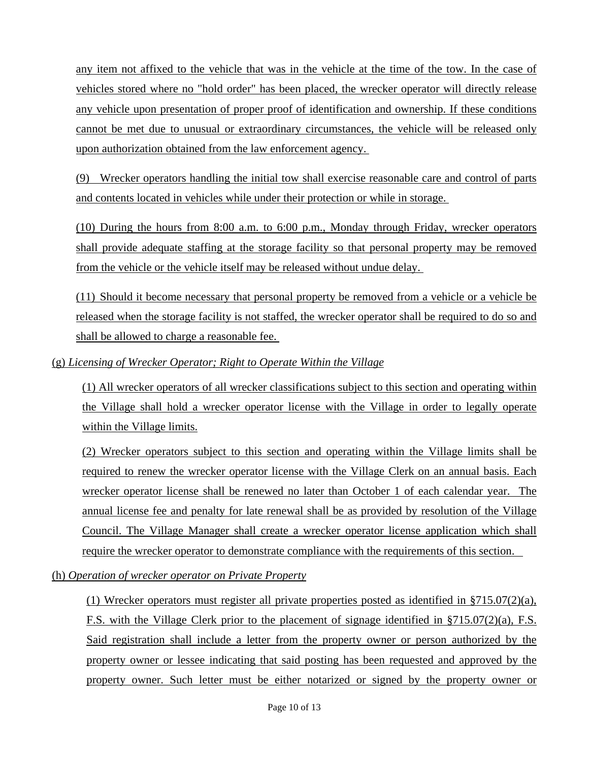any item not affixed to the vehicle that was in the vehicle at the time of the tow. In the case of vehicles stored where no "hold order" has been placed, the wrecker operator will directly release any vehicle upon presentation of proper proof of identification and ownership. If these conditions cannot be met due to unusual or extraordinary circumstances, the vehicle will be released only upon authorization obtained from the law enforcement agency.

(9) Wrecker operators handling the initial tow shall exercise reasonable care and control of parts and contents located in vehicles while under their protection or while in storage.

(10) During the hours from 8:00 a.m. to 6:00 p.m., Monday through Friday, wrecker operators shall provide adequate staffing at the storage facility so that personal property may be removed from the vehicle or the vehicle itself may be released without undue delay.

(11) Should it become necessary that personal property be removed from a vehicle or a vehicle be released when the storage facility is not staffed, the wrecker operator shall be required to do so and shall be allowed to charge a reasonable fee.

# (g) *Licensing of Wrecker Operator; Right to Operate Within the Village*

(1) All wrecker operators of all wrecker classifications subject to this section and operating within the Village shall hold a wrecker operator license with the Village in order to legally operate within the Village limits.

(2) Wrecker operators subject to this section and operating within the Village limits shall be required to renew the wrecker operator license with the Village Clerk on an annual basis. Each wrecker operator license shall be renewed no later than October 1 of each calendar year. The annual license fee and penalty for late renewal shall be as provided by resolution of the Village Council. The Village Manager shall create a wrecker operator license application which shall require the wrecker operator to demonstrate compliance with the requirements of this section.

(h) *Operation of wrecker operator on Private Property*

(1) Wrecker operators must register all private properties posted as identified in  $\S715.07(2)(a)$ , F.S. with the Village Clerk prior to the placement of signage identified in §715.07(2)(a), F.S. Said registration shall include a letter from the property owner or person authorized by the property owner or lessee indicating that said posting has been requested and approved by the property owner. Such letter must be either notarized or signed by the property owner or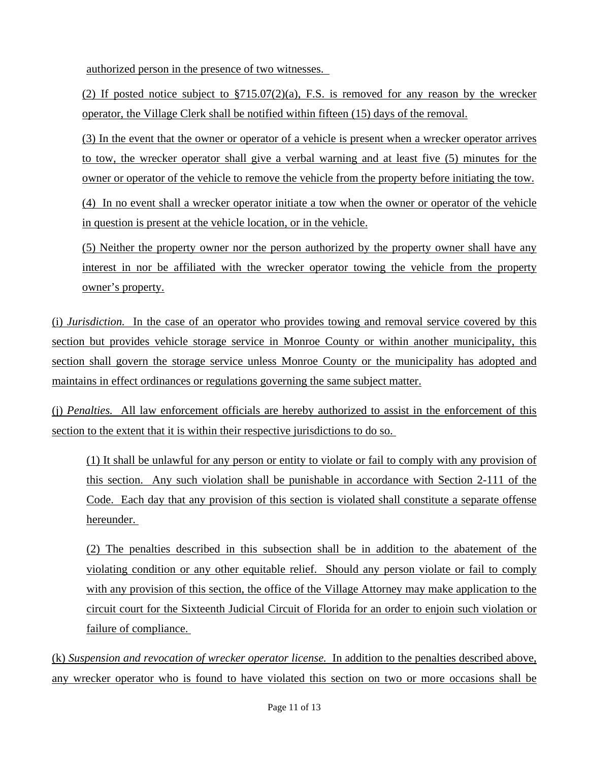authorized person in the presence of two witnesses.

(2) If posted notice subject to  $\S715.07(2)(a)$ , F.S. is removed for any reason by the wrecker operator, the Village Clerk shall be notified within fifteen (15) days of the removal.

(3) In the event that the owner or operator of a vehicle is present when a wrecker operator arrives to tow, the wrecker operator shall give a verbal warning and at least five (5) minutes for the owner or operator of the vehicle to remove the vehicle from the property before initiating the tow.

(4) In no event shall a wrecker operator initiate a tow when the owner or operator of the vehicle in question is present at the vehicle location, or in the vehicle.

(5) Neither the property owner nor the person authorized by the property owner shall have any interest in nor be affiliated with the wrecker operator towing the vehicle from the property owner's property.

(i) *Jurisdiction.* In the case of an operator who provides towing and removal service covered by this section but provides vehicle storage service in Monroe County or within another municipality, this section shall govern the storage service unless Monroe County or the municipality has adopted and maintains in effect ordinances or regulations governing the same subject matter.

(j) *Penalties.* All law enforcement officials are hereby authorized to assist in the enforcement of this section to the extent that it is within their respective jurisdictions to do so.

(1) It shall be unlawful for any person or entity to violate or fail to comply with any provision of this section. Any such violation shall be punishable in accordance with Section 2-111 of the Code. Each day that any provision of this section is violated shall constitute a separate offense hereunder.

(2) The penalties described in this subsection shall be in addition to the abatement of the violating condition or any other equitable relief. Should any person violate or fail to comply with any provision of this section, the office of the Village Attorney may make application to the circuit court for the Sixteenth Judicial Circuit of Florida for an order to enjoin such violation or failure of compliance.

(k) *Suspension and revocation of wrecker operator license.* In addition to the penalties described above, any wrecker operator who is found to have violated this section on two or more occasions shall be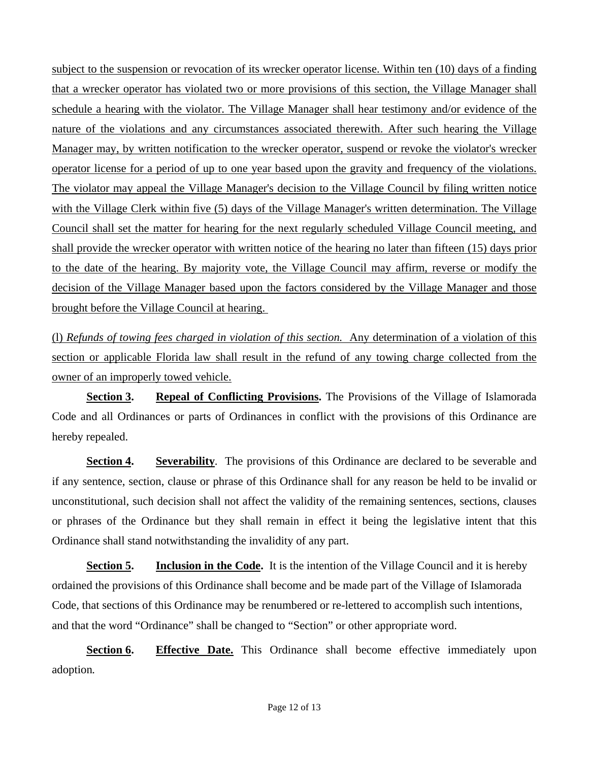subject to the suspension or revocation of its wrecker operator license. Within ten (10) days of a finding that a wrecker operator has violated two or more provisions of this section, the Village Manager shall schedule a hearing with the violator. The Village Manager shall hear testimony and/or evidence of the nature of the violations and any circumstances associated therewith. After such hearing the Village Manager may, by written notification to the wrecker operator, suspend or revoke the violator's wrecker operator license for a period of up to one year based upon the gravity and frequency of the violations. The violator may appeal the Village Manager's decision to the Village Council by filing written notice with the Village Clerk within five (5) days of the Village Manager's written determination. The Village Council shall set the matter for hearing for the next regularly scheduled Village Council meeting, and shall provide the wrecker operator with written notice of the hearing no later than fifteen (15) days prior to the date of the hearing. By majority vote, the Village Council may affirm, reverse or modify the decision of the Village Manager based upon the factors considered by the Village Manager and those brought before the Village Council at hearing.

(l) *Refunds of towing fees charged in violation of this section.* Any determination of a violation of this section or applicable Florida law shall result in the refund of any towing charge collected from the owner of an improperly towed vehicle.

**Section 3. Repeal of Conflicting Provisions.** The Provisions of the Village of Islamorada Code and all Ordinances or parts of Ordinances in conflict with the provisions of this Ordinance are hereby repealed.

**Section 4. Severability**. The provisions of this Ordinance are declared to be severable and if any sentence, section, clause or phrase of this Ordinance shall for any reason be held to be invalid or unconstitutional, such decision shall not affect the validity of the remaining sentences, sections, clauses or phrases of the Ordinance but they shall remain in effect it being the legislative intent that this Ordinance shall stand notwithstanding the invalidity of any part.

**<u>Section 5.</u> Inclusion in the Code.** It is the intention of the Village Council and it is hereby ordained the provisions of this Ordinance shall become and be made part of the Village of Islamorada Code, that sections of this Ordinance may be renumbered or re-lettered to accomplish such intentions, and that the word "Ordinance" shall be changed to "Section" or other appropriate word.

**Section 6. Effective Date.** This Ordinance shall become effective immediately upon adoption*.*